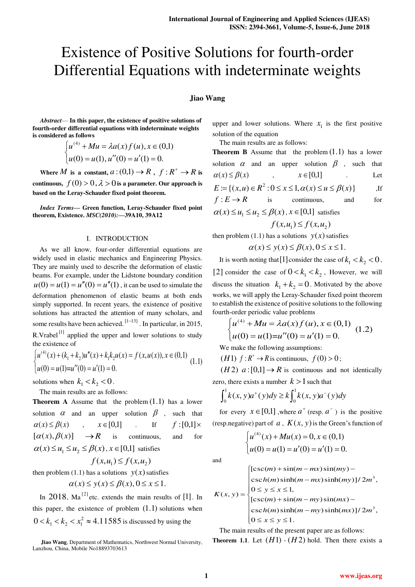# Existence of Positive Solutions for fourth-order Differential Equations with indeterminate weights

## **Jiao Wang**

*Abstract*— **In this paper, the existence of positive solutions of fourth-order differential equations with indeterminate weights is considered as follows** 

$$
\begin{cases} u^{(4)} + Mu = \lambda a(x) f(u), x \in (0,1) \\ u(0) = u(1), u''(0) = u'(1) = 0. \end{cases}
$$

Where  $M$  is a constant,  $a:(0,1) \rightarrow R$ ,  $f: R^+ \rightarrow R$  is **continuous,**  $f(0) > 0, \lambda > 0$  is a parameter. Our approach is **based on the Leray-Schauder fixed point theorem.** 

*Index Terms***— Green function, Leray-Schauder fixed point theorem, Existence.** *MSC(2010):***—39A10, 39A12** 

#### I. INTRODUCTION

 As we all know, four-order differential equations are widely used in elastic mechanics and Engineering Physics. They are mainly used to describe the deformation of elastic beams. For example, under the Lidstone boundary condition  $u(0) = u(1) = u''(0) = u''(1)$ , it can be used to simulate the deformation phenomenon of elastic beams at both ends simply supported. In recent years, the existence of positive solutions has attracted the attention of many scholars, and some results have been achieved.  $\left[1-13\right]$ . In particular, in 2015, R. Vrabel<sup>[1]</sup> applied the upper and lower solutions to study the existence of

$$
\begin{cases}\nu^{(4)}(x) + (k_1 + k_2)u''(x) + k_1k_2u(x) = f(x, u(x)), x \in (0,1) \\
u(0) = u(1) = u''(0) = u'(1) = 0.\n\end{cases}
$$
\n(1.1)

solutions when  $k_1 < k_2 < 0$ .

The main results are as follows:

**Theorem A** Assume that the problem  $(1.1)$  has a lower solution  $\alpha$  and an upper solution  $\beta$ , such that  $\alpha(x) \leq \beta(x)$ ,  $x \in [0,1]$ , If  $f : [0,1] \times$  $[\alpha(x), \beta(x)] \rightarrow R$  is continuous, and for  $\alpha(x) \le u_1 \le u_2 \le \beta(x)$ ,  $x \in [0,1]$  satisfies

 $f(x, u_1) \le f(x, u_2)$ 

then problem (1.1) has a solutions  $y(x)$  satisfies

$$
\alpha(x) \le y(x) \le \beta(x), 0 \le x \le 1.
$$

In  $2018$ , Ma<sup>[2]</sup> etc. extends the main results of [1]. In this paper, the existence of problem  $(1.1)$  solutions when  $0 < k_1 < k_2 < x_1^2 \approx 4.11585$  is discussed by using the

**Jiao Wang**, Department of Mathematics, Northwest Normal University, Lanzhou, China, Mobile No18893703613

upper and lower solutions. Where  $x_1$  is the first positive solution of the equation

The main results are as follows:

| <b>Theorem B</b> Assume that the problem $(1.1)$ has a lower             |  |  |  |     |  |     |        |
|--------------------------------------------------------------------------|--|--|--|-----|--|-----|--------|
| solution $\alpha$ and an upper solution $\beta$ , such that              |  |  |  |     |  |     |        |
| $\alpha(x) \leq \beta(x)$ , $x \in [0,1]$ .                              |  |  |  |     |  |     | Let    |
| $E := \{(x, u) \in R^2 : 0 \le x \le 1, \alpha(x) \le u \le \beta(x)\}\$ |  |  |  |     |  |     | $,$ If |
| $f: E \to R$ is continuous,                                              |  |  |  | and |  | for |        |
| $\alpha(x) \leq u_1 \leq u_2 \leq \beta(x)$ , $x \in [0,1]$ satisfies    |  |  |  |     |  |     |        |
| $f(x, u_1) \le f(x, u_2)$                                                |  |  |  |     |  |     |        |

then problem (1.1) has a solutions  $y(x)$  satisfies

$$
\alpha(x) \le y(x) \le \beta(x), 0 \le x \le 1.
$$

It is worth noting that [1] consider the case of  $k_1 < k_2 < 0$ , [2] consider the case of  $0 < k_1 < k_2$ , However, we will discuss the situation  $k_1 + k_2 = 0$ . Motivated by the above works, we will apply the Leray-Schauder fixed point theorem to establish the existence of positive solutions to the following fourth-order periodic value problems

$$
\begin{cases}\nu^{(4)} + Mu = \lambda a(x) f(u), x \in (0,1) \\
u(0) = u(1) = u''(0) = u'(1) = 0.\n\end{cases}
$$
\n(1.2)

We make the following assumptions:

(*H*1)  $f: R^+ \to R$  is continuous,  $f(0) > 0$ ;

 $(H2)$   $a:[0,1] \rightarrow R$  is continuous and not identically zero, there exists a number  $k > 1$  such that

$$
\int_0^1 k(x, y)a^+(y)dy \ge k \int_0^1 k(x, y)a^-(y)dy
$$

for every  $x \in [0,1]$ , where  $a^+$  (resp.  $a^-$ ) is the positive (resp.negative) part of *a*,  $K(x, y)$  is the Green's function of

$$
\begin{cases} u^{(4)}(x) + Mu(x) = 0, x \in (0,1) \\ u(0) = u(1) = u'(0) = u'(1) = 0. \end{cases}
$$

and

$$
K(x, y) = \begin{cases} [\csc(m) + \sin(m - mx)\sin(my) - \\ \csc(h(m)\sinh(m - mx)\sinh(my)]/2m^3, \\ 0 \le y \le x \le 1, \\ [\csc(m) + \sin(m - my)\sin(mx) - \\ \csc(h(m)\sinh(m - my)\sinh(mx)]/2m^3, \\ 0 \le x \le y \le 1. \end{cases}
$$

The main results of the present paper are as follows: **Theorem 1.1.** Let  $(H1)$  -  $(H2)$  hold. Then there exists a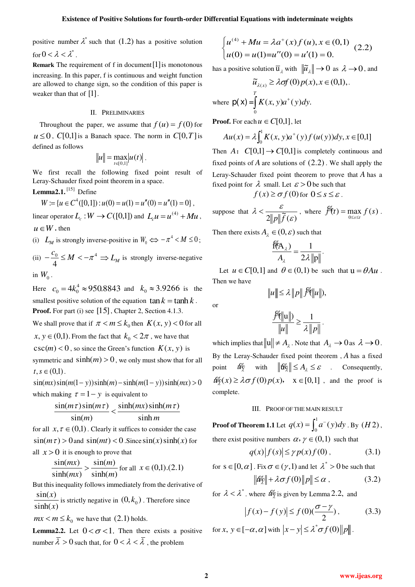positive number  $\lambda^*$  such that (1.2) has a positive solution for  $0 < \lambda < \lambda^*$ .

**Remark** The requirement of f in document [1] is monotonous increasing. In this paper, f is continuous and weight function are allowed to change sign, so the condition of this paper is weaker than that of  $[1]$ .

## II. PRELIMINARIES

Throughout the paper, we assume that  $f(u) = f(0)$  for  $u \leq 0$ , *C*[0,1] is a Banach space. The norm in *C*[0,*T*] is defined as follows

$$
||u|| = \max_{t \in [0,1]} |u(t)|.
$$

We first recall the following fixed point result of Leray-Schauder fixed point theorem in a space.

Lemma<sub>2.1</sub>.<sup>[15]</sup> Define

$$
W := \{ u \in C^4([0,1]) : u(0) = u(1) = u''(0) = u''(1) = 0 \},
$$

linear operator  $L_c : W \to C([0,1])$  and  $L_c u = u^{(4)} + M u$ ,  $u \in W$  **.** then

(i)  $L_M$  is strongly inverse-positive in  $W_0 \Leftrightarrow -\pi^4 < M \le 0$ ;

(ii)  $-\frac{c_0}{4} \leq M < -\pi^4$ 4  $-\frac{c_0}{4} \leq M < -\pi^4 \Rightarrow L_M$  is strongly inverse-negative in  $W_0$ .

Here  $c_0 = 4k_0^4 \approx 950.8843$  and  $k_0 \approx 3.9266$  is the smallest positive solution of the equation  $\tan k = \tanh k$ . **Proof.** For part (i) see [15], Chapter 2, Section 4.1.3. We shall prove that if  $\pi < m \leq k_0$  then  $K(x, y) < 0$  for all  $x, y \in (0,1)$ . From the fact that  $k_0 < 2\pi$ , we have that  $\csc(m) < 0$ , so since the Green's function  $K(x, y)$  is symmetric and  $sinh(m) > 0$ , we only must show that for all  $t, s \in (0,1)$ .

 $\sin(mx)\sin(m(1-y))\sinh(m)-\sinh(m(1-y))\sinh(mx) > 0$ which making  $\tau = 1 - y$  is equivalent to

$$
\frac{\sin(m\tau)\sin(m\tau)}{\sin(m)} < \frac{\sinh(mx)\sinh(m\tau)}{\sinh m}
$$

for all  $x, \tau \in (0,1)$ . Clearly it suffices to consider the case  $\sin(m\tau) > 0$  and  $\sin(mt) < 0$ . Since  $\sin(x)\sinh(x)$  for all  $x > 0$  it is enough to prove that

$$
\frac{\sin(mx)}{\sinh(mx)} > \frac{\sin(m)}{\sinh(m)} \text{ for all } x \in (0,1). (2.1)
$$

But this inequality follows immediately from the derivative of  $sin(x)$ 

 $sinh(x)$ *x*  $\frac{x}{(x)}$  is strictly negative in  $(0, k_0)$ . Therefore since

 $mx < m \le k_0$  we have that (2.1) holds.

**Lemma2.2.** Let  $0 < \sigma < 1$ . Then there exists a positive number  $\overline{\lambda} > 0$  such that, for  $0 < \lambda < \overline{\lambda}$ , the problem

$$
\begin{cases} u^{(4)} + Mu = \lambda a^+(x) f(u), x \in (0,1) \\ u(0) = u(1) = u''(0) = u'(1) = 0. \end{cases} (2.2)
$$

has a positive solution  $\overline{u}_{\lambda}$  with  $\|\tilde{u}_{\lambda}\| \to 0$  as  $\lambda \to 0$ , and

$$
\widetilde{u}_{\lambda(x)} \ge \lambda \text{ of } (0) p(x), x \in (0,1),
$$
\n
$$
\text{where } \mathsf{p}(\mathsf{x}) = \int_{0}^{T} K(x, y) a^{+}(y) dy.
$$

**Proof.** For each  $u \in C[0,1]$ , let

$$
Au(x) = \lambda \int_0^1 K(x, y) a^+(y) f(u(y)) dy, x \in [0,1]
$$

Then  $A: C[0,1] \rightarrow C[0,1]$  is completely continuous and fixed points of  $\hat{A}$  are solutions of  $(2.2)$ . We shall apply the Leray-Schauder fixed point theorem to prove that *A* has a fixed point for  $\lambda$  small. Let  $\varepsilon > 0$  be such that

$$
f(x) \geq \sigma f(0) \text{ for } 0 \leq s \leq \varepsilon.
$$

suppose that  $\sqrt{2||p||\widetilde{f}(\varepsilon)}$  $\lambda<\frac{\varepsilon}{\sqrt{\varepsilon}}$ *fp*  $\epsilon$   $\frac{\varepsilon}{2\ln\left\|\tilde{f}(s)\right\|}$ , where  $\oint f(t) = \max_{0 \leq s \leq t} f(s)$ .

Then there exists  $A_{\lambda} \in (0, \varepsilon)$  such that

$$
\frac{f'(A_{\lambda})}{A_{\lambda}} = \frac{1}{2\lambda \|p\|}
$$

.

Let  $u \in C[0,1]$  and  $\theta \in (0,1)$  be such that  $u = \theta Au$ . Then we have

$$
||u|| \leq \lambda ||p|| \mathcal{H}||u||,
$$

or

$$
\frac{\mathscr{F}\!\!\ell\|\mathrm{u}\|}{\|\mathrm{u}\|} \geq \frac{1}{\lambda \|p\|}.
$$

which implies that  $||u|| \neq A_{\lambda}$ . Note that  $A_{\lambda} \to 0$  as  $\lambda \to 0$ . By the Leray-Schauder fixed point theorem , *A* has a fixed point  $\mathscr{W}_{\gamma}$  with  $\|\mathscr{W}_{\gamma}\| \leq A_{\lambda} \leq \varepsilon$  . Consequently,  $w \circ g(x) \ge \lambda \sigma f(0) p(x), \quad x \in [0,1]$ , and the proof is complete.

## III. PROOF OF THE MAIN RESULT

**Proof of Theorem 1.1** Let  $q(x) = \int_{a}^{1}$  $q(x) = \int_0^1 a^-(y) dy$ . By  $(H2)$ ,

there exist positive numbers  $\alpha$ ,  $\gamma \in (0,1)$  such that

$$
q(x)|f(s)| \le \gamma p(x)f(0), \qquad (3.1)
$$

for  $s \in [0, \alpha]$ . Fix  $\sigma \in (\gamma, 1)$  and let  $\lambda^* > 0$  be such that

$$
\|\mathscr{U}_{\mathscr{L}}\| + \lambda \sigma f(0)\|p\| \le \alpha ,\qquad (3.2)
$$

for  $\lambda < \lambda^*$ . where  $\mathcal{W}_{\lambda}$  is given by Lemma 2.2, and

$$
\left|f(x) - f(y)\right| \le f(0)\left(\frac{\sigma - \gamma}{2}\right),\tag{3.3}
$$

for *x*,  $y \in [-\alpha, \alpha]$  with  $|x - y| \leq \lambda^* \sigma f(0) ||p||$ .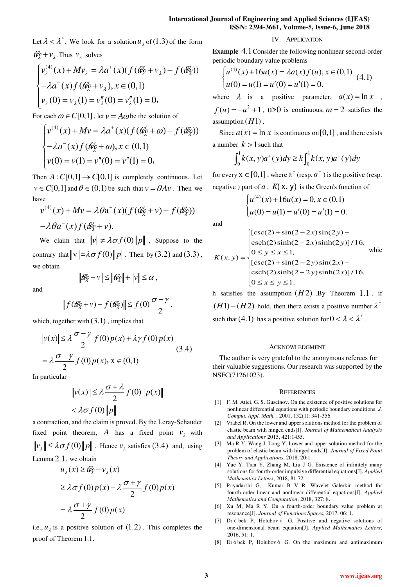Let  $\lambda < \lambda^*$ . We look for a solution  $u_{\lambda}$  of (1.3) of the form  $\mathcal{W}_{\mathcal{R}} + v_{\lambda}$ . Thus  $v_{\lambda}$  solves

$$
\begin{cases}\nv_{\lambda}^{(4)}(x) + Mv_{\lambda} = \lambda a^{+}(x)(f(\mathscr{U}_{\lambda} + v_{\lambda}) - f(\mathscr{U}_{\lambda})) \\
-\lambda a^{-}(x)f(\mathscr{U}_{\lambda} + v_{\lambda}), x \in (0,1) \\
v_{\lambda}(0) = v_{\lambda}(1) = v_{\lambda}''(0) = v_{\lambda}''(1) = 0,\n\end{cases}
$$

For each  $\omega \in C[0,1]$ , let  $v = A\omega$  be the solution of

$$
\begin{cases}\nv^{(4)}(x) + Mv = \lambda a^+(x)(f(\theta \hat{y} + \omega) - f(\theta \hat{y})) \\
-\lambda a^-(x) f(\theta \hat{y} + \omega), x \in (0,1) \\
v(0) = v(1) = v''(0) = v''(1) = 0,\n\end{cases}
$$

Then  $A: C[0,1] \to C[0,1]$  is completely continuous. Let  $v \in C[0,1]$  and  $\theta \in (0,1)$  be such that  $v = \theta Av$ . Then we have

$$
v^{(4)}(x) + Mv = \lambda \theta a^+(x) (f(\theta \hat{q} + v) - f(\theta \hat{q}))
$$

$$
-\lambda \theta a^-(x) f(\theta \hat{q} + v).
$$

We claim that  $\|v\| \neq \lambda \sigma f(0) \|p\|$ , Suppose to the contrary that  $\|\mathbf{v}\| = \lambda \sigma f(0) \|p\|$ . Then by (3.2) and (3.3), we obtain

 $||\mathcal{W}_{\mathcal{Q}} + v|| \leq ||\mathcal{W}_{\mathcal{Q}}|| + ||v|| \leq \alpha$ ,

and

$$
\left\|f(\hat{w}_\lambda^{\prime\prime} + v) - f(\hat{w}_\lambda^{\prime\prime})\right\| \le f(0) \frac{\sigma - \gamma}{2}.
$$

which, together with  $(3.1)$ , implies that

$$
|v(x)| \le \lambda \frac{\sigma - \gamma}{2} f(0) p(x) + \lambda \gamma f(0) p(x)
$$
  
=  $\lambda \frac{\sigma + \gamma}{2} f(0) p(x), x \in (0,1)$  (3.4)

In particular

$$
||v(x)|| \le \lambda \frac{\sigma + \lambda}{2} f(0) ||p(x)||
$$
  
<  $\lambda \sigma f(0) ||p||$ 

a contraction, and the claim is proved. By the Leray-Schauder fixed point theorem,  $\overline{A}$  has a fixed point  $v_1$  with  $v_{\lambda}$   $\leq \lambda \sigma f(0)$   $\|p\|$ . Hence  $v_{\lambda}$  satisfies (3.4) and, using Lemma 2.1, we obtain

$$
u_{\lambda}(x) \ge \ell \ell \gamma - v_{\lambda}(x)
$$
  
\n
$$
\ge \lambda \sigma f(0) p(x) - \lambda \frac{\sigma + \gamma}{2} f(0) p(x)
$$
  
\n
$$
= \lambda \frac{\sigma + \gamma}{2} f(0) p(x)
$$

i.e.,  $u_{\lambda}$  is a positive solution of  $(1.2)$ . This completes the proof of Theorem 1.1.

## IV. APPLICATION

**Example** 4.1Consider the following nonlinear second-order periodic boundary value problems

$$
\begin{cases}\nu^{(4)}(x) + 16u(x) = \lambda a(x) f(u), x \in (0,1) \\
u(0) = u(1) = u'(0) = u'(1) = 0.\n\end{cases}
$$
\n(4.1)

where  $\lambda$  is a positive parameter,  $a(x) = \ln x$ ,  $f(u) = -u^2 + 1$ ,  $u>0$  is continuous,  $m = 2$  satisfies the

Since  $a(x) = \ln x$  is continuous on [0,1], and there exists a number  $k > 1$  such that

$$
\int_0^1 k(x, y)a^+(y)dy \ge k \int_0^1 k(x, y)a^-(y)dy
$$

for every  $X \in [0,1]$ , where  $a^+$  (resp.  $a^-$ ) is the positive (resp. negative ) part of *a*,  $K(X, Y)$  is the Green's function of

$$
\begin{cases}\nu^{(4)}(x) + 16u(x) = 0, x \in (0,1) \\
u(0) = u(1) = u'(0) = u'(1) = 0.\n\end{cases}
$$

and

assumption  $(H1)$ .

$$
K(x, y) = \begin{cases} [\csc(2) + \sin(2 - 2x)\sin(2y) - \\ \operatorname{csch}(2)\sinh(2 - 2x)\sinh(2y)]/16, \\ 0 \le y \le x \le 1, \\ [\csc(2) + \sin(2 - 2y)\sin(2x) - \\ \operatorname{csch}(2)\sinh(2 - 2y)\sinh(2x)]/16, \\ 0 \le x \le y \le 1. \end{cases}
$$

h satisfies the assumption  $(H2)$  *By* Theorem 1.1, if  $(H1)-(H2)$  hold, then there exists a positive number  $\lambda^*$ such that (4.1) has a positive solution for  $0 < \lambda < \lambda^*$ .

### ACKNOWLEDGMENT

The author is very grateful to the anonymous referees for their valuable suggestions. Our research was supported by the NSFC(71261023).

#### **REFERENCES**

- [1] F. M. Atici, G. S. Guseinov. On the existence of positive solutions for nonlinear differential equations with periodic boundary conditions. *J. Comput. Appl. Math.* , 2001, 132(1): 341-356.
- [2] Vrabel R. On the lower and upper solutions method for the problem of elastic beam with hinged ends[J]. *Journal of Mathematical Analysis and Applications* 2015, 421:1455.
- [3] Ma R Y, Wang J, Long Y. Lower and upper solution method for the problem of elastic beam with hinged ends[J]. *Journal of Fixed Point Theory and Applications*, 2018, 20:1.
- [4] Yue Y, Tian Y, Zhang M, Liu J G. Existence of infinitely many solutions for fourth-order impulsive differential equations[J]. *Applied Mathematics Letters*, 2018, 81:72.
- [5] Priyadarshi G, Kumar B V R. Wavelet Galerkin method for fourth-order linear and nonlinear differential equations[J]. *Applied Mathematics and Computation*, 2018, 327: 8.
- [6] Xu M, Ma R Y. On a fourth-order boundary value problem at resonance[J]. *Journal of Functions Spaces*, 2017, 06: 1.
- [7] Dr á bek P, Holubov á G. Positive and negative solutions of one-dimensional beam equation[J]. *Applied Mathematics Letters*, 2016, 51: 1.
- [8] Dr á bek P, Holubov á G. On the maximum and antimaximum